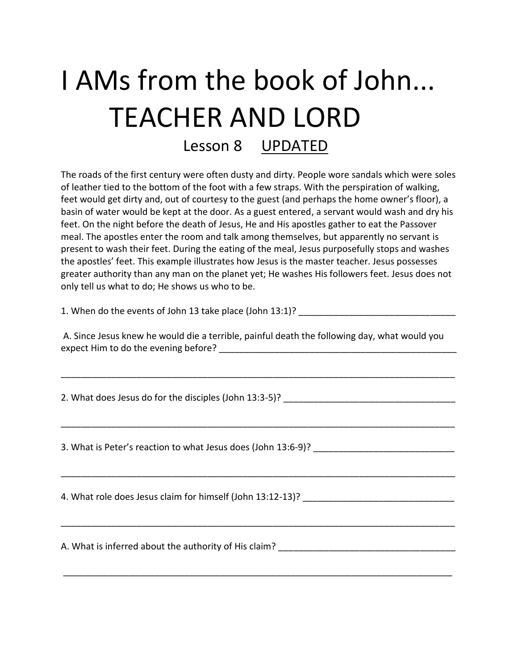# I AMs from the book of John... TEACHER AND LORD

Lesson 8 UPDATED

The roads of the first century were often dusty and dirty. People wore sandals which were soles of leather tied to the bottom of the foot with a few straps. With the perspiration of walking, feet would get dirty and, out of courtesy to the guest (and perhaps the home owner's floor), a basin of water would be kept at the door. As a guest entered, a servant would wash and dry his feet. On the night before the death of Jesus, He and His apostles gather to eat the Passover meal. The apostles enter the room and talk among themselves, but apparently no servant is present to wash their feet. During the eating of the meal, Jesus purposefully stops and washes the apostles' feet. This example illustrates how Jesus is the master teacher. Jesus possesses greater authority than any man on the planet yet; He washes His followers feet. Jesus does not only tell us what to do; He shows us who to be.

1. When do the events of John 13 take place (John 13:1)?

A. Since Jesus knew he would die a terrible, painful death the following day, what would you expect Him to do the evening before?

\_\_\_\_\_\_\_\_\_\_\_\_\_\_\_\_\_\_\_\_\_\_\_\_\_\_\_\_\_\_\_\_\_\_\_\_\_\_\_\_\_\_\_\_\_\_\_\_\_\_\_\_\_\_\_\_\_\_\_\_\_\_\_\_\_\_\_\_\_\_\_\_\_\_\_\_\_\_

\_\_\_\_\_\_\_\_\_\_\_\_\_\_\_\_\_\_\_\_\_\_\_\_\_\_\_\_\_\_\_\_\_\_\_\_\_\_\_\_\_\_\_\_\_\_\_\_\_\_\_\_\_\_\_\_\_\_\_\_\_\_\_\_\_\_\_\_\_\_\_\_\_\_\_\_\_\_

\_\_\_\_\_\_\_\_\_\_\_\_\_\_\_\_\_\_\_\_\_\_\_\_\_\_\_\_\_\_\_\_\_\_\_\_\_\_\_\_\_\_\_\_\_\_\_\_\_\_\_\_\_\_\_\_\_\_\_\_\_\_\_\_\_\_\_\_\_\_\_\_\_\_\_\_\_\_

\_\_\_\_\_\_\_\_\_\_\_\_\_\_\_\_\_\_\_\_\_\_\_\_\_\_\_\_\_\_\_\_\_\_\_\_\_\_\_\_\_\_\_\_\_\_\_\_\_\_\_\_\_\_\_\_\_\_\_\_\_\_\_\_\_\_\_\_\_\_\_\_\_\_\_\_\_\_

\_\_\_\_\_\_\_\_\_\_\_\_\_\_\_\_\_\_\_\_\_\_\_\_\_\_\_\_\_\_\_\_\_\_\_\_\_\_\_\_\_\_\_\_\_\_\_\_\_\_\_\_\_\_\_\_\_\_\_\_\_\_\_\_\_\_\_\_\_\_\_\_\_\_\_\_\_

2. What does Jesus do for the disciples (John 13:3-5)?

3. What is Peter's reaction to what Jesus does (John 13:6-9)?

4. What role does Jesus claim for himself (John 13:12-13)?

A. What is inferred about the authority of His claim? \_\_\_\_\_\_\_\_\_\_\_\_\_\_\_\_\_\_\_\_\_\_\_\_\_\_\_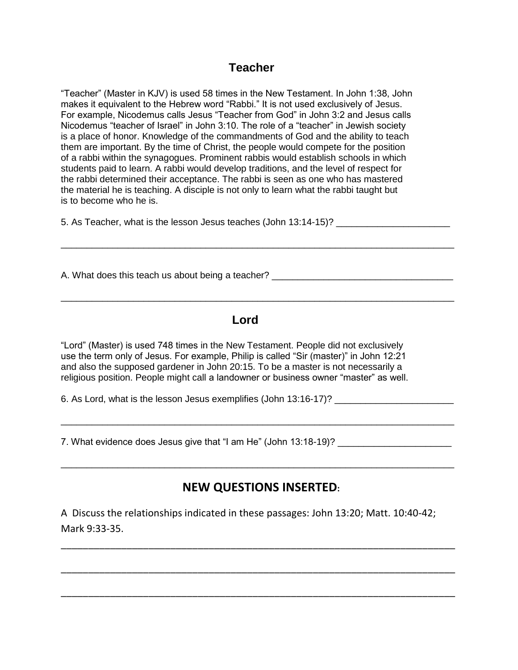#### **Teacher**

"Teacher" (Master in KJV) is used 58 times in the New Testament. In John 1:38, John makes it equivalent to the Hebrew word "Rabbi." It is not used exclusively of Jesus. For example, Nicodemus calls Jesus "Teacher from God" in John 3:2 and Jesus calls Nicodemus "teacher of Israel" in John 3:10. The role of a "teacher" in Jewish society is a place of honor. Knowledge of the commandments of God and the ability to teach them are important. By the time of Christ, the people would compete for the position of a rabbi within the synagogues. Prominent rabbis would establish schools in which students paid to learn. A rabbi would develop traditions, and the level of respect for the rabbi determined their acceptance. The rabbi is seen as one who has mastered the material he is teaching. A disciple is not only to learn what the rabbi taught but is to become who he is.

5. As Teacher, what is the lesson Jesus teaches (John 13:14-15)?

A. What does this teach us about being a teacher?

### *Lord* **Lord**

\_\_\_\_\_\_\_\_\_\_\_\_\_\_\_\_\_\_\_\_\_\_\_\_\_\_\_\_\_\_\_\_\_\_\_\_\_\_\_\_\_\_\_\_\_\_\_\_\_\_\_\_\_\_\_\_\_\_\_\_\_\_\_\_\_\_\_\_\_\_\_\_\_\_\_\_

\_\_\_\_\_\_\_\_\_\_\_\_\_\_\_\_\_\_\_\_\_\_\_\_\_\_\_\_\_\_\_\_\_\_\_\_\_\_\_\_\_\_\_\_\_\_\_\_\_\_\_\_\_\_\_\_\_\_\_\_\_\_\_\_\_\_\_\_\_\_\_\_\_\_\_\_

"Lord" (Master) is used 748 times in the New Testament. People did not exclusively use the term only of Jesus. For example, Philip is called "Sir (master)" in John 12:21 and also the supposed gardener in John 20:15. To be a master is not necessarily a religious position. People might call a landowner or business owner "master" as well.

6. As Lord, what is the lesson Jesus exemplifies (John 13:16-17)?

7. What evidence does Jesus give that "I am He" (John 13:18-19)? \_\_\_\_\_\_\_\_\_\_\_\_\_\_\_\_

## **NEW QUESTIONS INSERTED:**

\_\_\_\_\_\_\_\_\_\_\_\_\_\_\_\_\_\_\_\_\_\_\_\_\_\_\_\_\_\_\_\_\_\_\_\_\_\_\_\_\_\_\_\_\_\_\_\_\_\_\_\_\_\_\_\_\_\_\_\_\_\_\_\_\_\_\_\_\_\_\_\_\_\_\_\_

\_\_\_\_\_\_\_\_\_\_\_\_\_\_\_\_\_\_\_\_\_\_\_\_\_\_\_\_\_\_\_\_\_\_\_\_\_\_\_\_\_\_\_\_\_\_\_\_\_\_\_\_\_\_\_\_\_\_\_\_\_\_\_\_\_\_\_\_\_\_\_\_\_\_\_\_

A Discuss the relationships indicated in these passages: John 13:20; Matt. 10:40-42; Mark 9:33-35.

\_\_\_\_\_\_\_\_\_\_\_\_\_\_\_\_\_\_\_\_\_\_\_\_\_\_\_\_\_\_\_\_\_\_\_\_\_\_\_\_\_\_\_\_\_\_\_\_\_\_\_\_\_\_\_\_\_\_\_\_\_\_\_\_\_\_\_\_\_\_\_\_

\_\_\_\_\_\_\_\_\_\_\_\_\_\_\_\_\_\_\_\_\_\_\_\_\_\_\_\_\_\_\_\_\_\_\_\_\_\_\_\_\_\_\_\_\_\_\_\_\_\_\_\_\_\_\_\_\_\_\_\_\_\_\_\_\_\_\_\_\_\_\_\_

\_\_\_\_\_\_\_\_\_\_\_\_\_\_\_\_\_\_\_\_\_\_\_\_\_\_\_\_\_\_\_\_\_\_\_\_\_\_\_\_\_\_\_\_\_\_\_\_\_\_\_\_\_\_\_\_\_\_\_\_\_\_\_\_\_\_\_\_\_\_\_\_